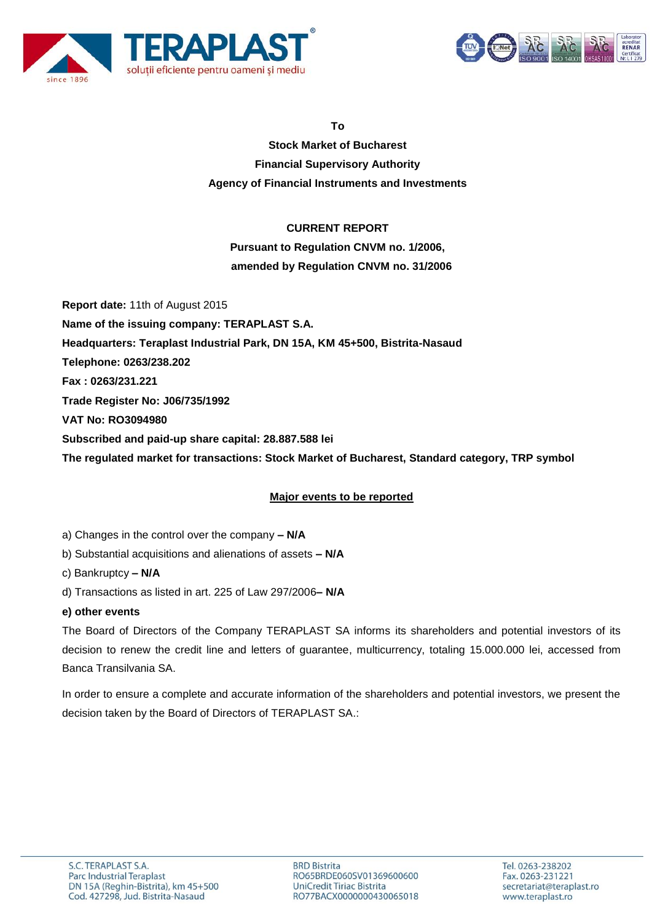



**To**

**Stock Market of Bucharest Financial Supervisory Authority Agency of Financial Instruments and Investments**

### **CURRENT REPORT**

**Pursuant to Regulation CNVM no. 1/2006, amended by Regulation CNVM no. 31/2006**

**Report date:** 11th of August 2015 **Name of the issuing company: TERAPLAST S.A. Headquarters: Teraplast Industrial Park, DN 15A, KM 45+500, Bistrita-Nasaud Telephone: 0263/238.202 Fax : 0263/231.221 Trade Register No: J06/735/1992 VAT No: RO3094980 Subscribed and paid-up share capital: 28.887.588 lei The regulated market for transactions: Stock Market of Bucharest, Standard category, TRP symbol**

## **Major events to be reported**

a) Changes in the control over the company **– N/A**

b) Substantial acquisitions and alienations of assets **– N/A**

c) Bankruptcy **– N/A**

d) Transactions as listed in art. 225 of Law 297/2006**– N/A**

#### **e) other events**

The Board of Directors of the Company TERAPLAST SA informs its shareholders and potential investors of its decision to renew the credit line and letters of guarantee, multicurrency, totaling 15.000.000 lei, accessed from Banca Transilvania SA.

In order to ensure a complete and accurate information of the shareholders and potential investors, we present the decision taken by the Board of Directors of TERAPLAST SA.: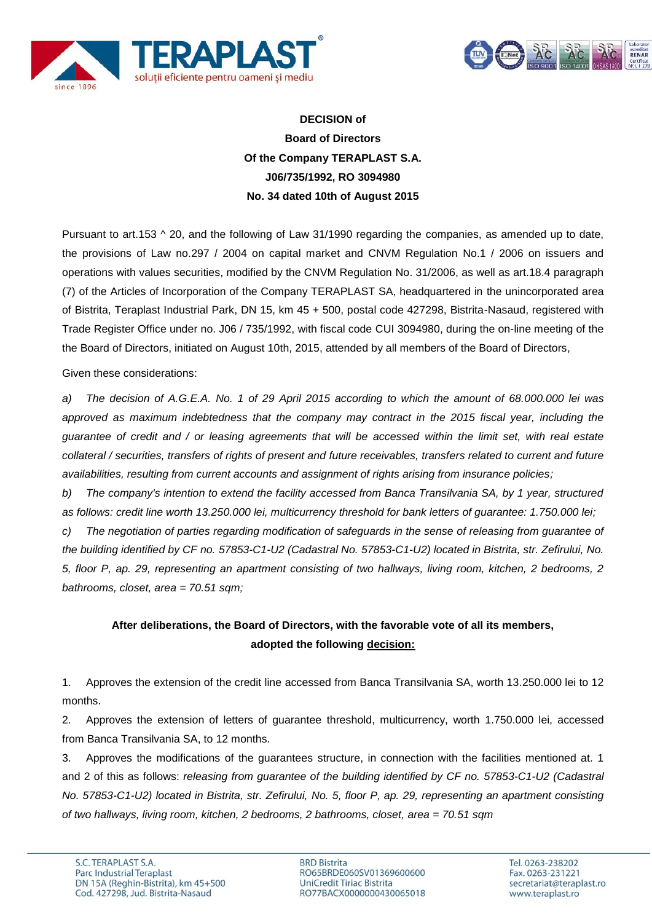



# **DECISION of Board of Directors Of the Company TERAPLAST S.A. J06/735/1992, RO 3094980 No. 34 dated 10th of August 2015**

Pursuant to art.153  $\land$  20, and the following of Law 31/1990 regarding the companies, as amended up to date, the provisions of Law no.297 / 2004 on capital market and CNVM Regulation No.1 / 2006 on issuers and operations with values securities, modified by the CNVM Regulation No. 31/2006, as well as art.18.4 paragraph (7) of the Articles of Incorporation of the Company TERAPLAST SA, headquartered in the unincorporated area of Bistrita, Teraplast Industrial Park, DN 15, km 45 + 500, postal code 427298, Bistrita-Nasaud, registered with Trade Register Office under no. J06 / 735/1992, with fiscal code CUI 3094980, during the on-line meeting of the the Board of Directors, initiated on August 10th, 2015, attended by all members of the Board of Directors,

Given these considerations:

*a) The decision of A.G.E.A. No. 1 of 29 April 2015 according to which the amount of 68.000.000 lei was approved as maximum indebtedness that the company may contract in the 2015 fiscal year, including the guarantee of credit and / or leasing agreements that will be accessed within the limit set, with real estate collateral / securities, transfers of rights of present and future receivables, transfers related to current and future availabilities, resulting from current accounts and assignment of rights arising from insurance policies;*

*b) The company's intention to extend the facility accessed from Banca Transilvania SA, by 1 year, structured as follows: credit line worth 13.250.000 lei, multicurrency threshold for bank letters of guarantee: 1.750.000 lei;*

*c) The negotiation of parties regarding modification of safeguards in the sense of releasing from guarantee of the building identified by CF no. 57853-C1-U2 (Cadastral No. 57853-C1-U2) located in Bistrita, str. Zefirului, No. 5, floor P, ap. 29, representing an apartment consisting of two hallways, living room, kitchen, 2 bedrooms, 2 bathrooms, closet, area = 70.51 sqm;*

# **After deliberations, the Board of Directors, with the favorable vote of all its members, adopted the following decision:**

1. Approves the extension of the credit line accessed from Banca Transilvania SA, worth 13.250.000 lei to 12 months.

2. Approves the extension of letters of guarantee threshold, multicurrency, worth 1.750.000 lei, accessed from Banca Transilvania SA, to 12 months.

3. Approves the modifications of the guarantees structure, in connection with the facilities mentioned at. 1 and 2 of this as follows: *releasing from guarantee of the building identified by CF no. 57853-C1-U2 (Cadastral No. 57853-C1-U2) located in Bistrita, str. Zefirului, No. 5, floor P, ap. 29, representing an apartment consisting of two hallways, living room, kitchen, 2 bedrooms, 2 bathrooms, closet, area = 70.51 sqm*